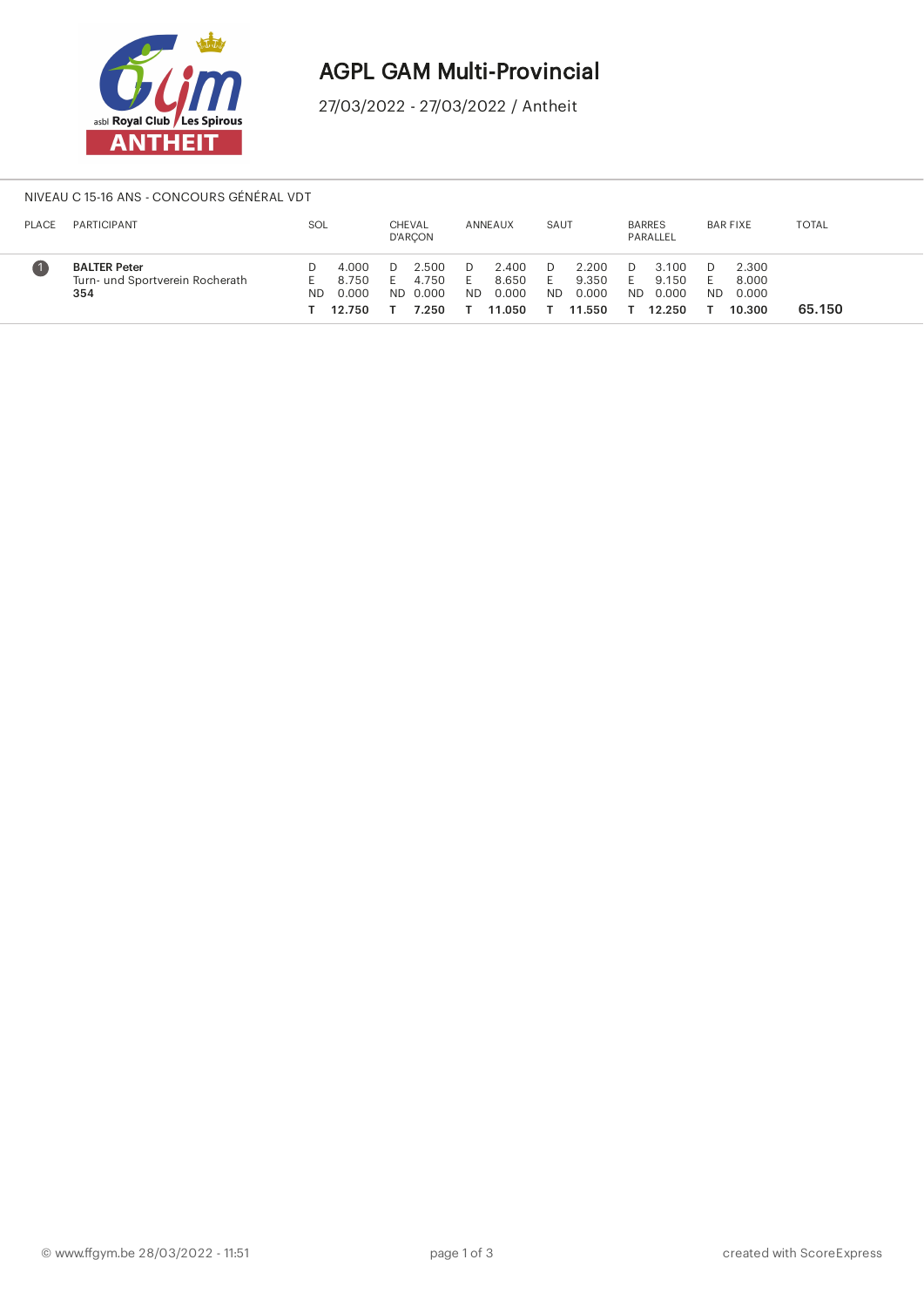

## AGPL GAM Multi-Provincial

27/03/2022 - 27/03/2022 / Antheit

#### NIVEAU C 15-16 ANS - CONCOURS GÉNÉRAL VDT

| <b>PLACE</b> | PARTICIPANT                                                   | SOL |                                   |     | CHEVAL<br><b>D'ARCON</b>         |                 | ANNEAUX                           | SAUT      |                                   | <b>BARRES</b> | PARALLEL                          |           | <b>BAR FIXE</b>                   | <b>TOTAL</b> |
|--------------|---------------------------------------------------------------|-----|-----------------------------------|-----|----------------------------------|-----------------|-----------------------------------|-----------|-----------------------------------|---------------|-----------------------------------|-----------|-----------------------------------|--------------|
|              | <b>BALTER Peter</b><br>Turn- und Sportverein Rocherath<br>354 | ND  | 4.000<br>8.750<br>0.000<br>12.750 | ND. | 2.500<br>4.750<br>0.000<br>7.250 | н.<br><b>ND</b> | 2.400<br>8.650<br>0.000<br>11.050 | <b>ND</b> | 2.200<br>9.350<br>0.000<br>11.550 | <b>ND</b>     | 3.100<br>9.150<br>0.000<br>12.250 | <b>ND</b> | 2.300<br>8.000<br>0.000<br>10.300 | 65.150       |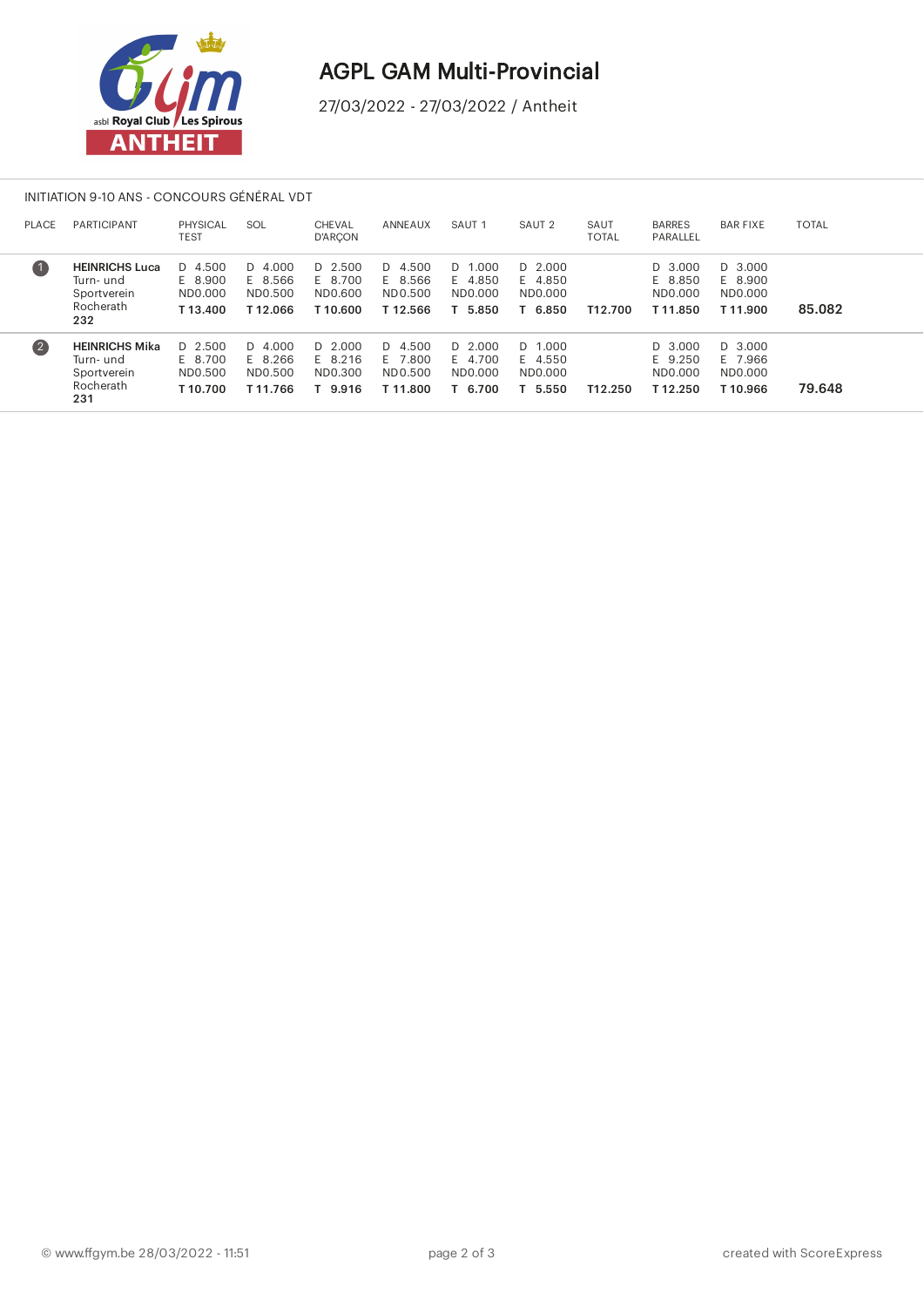

# AGPL GAM Multi-Provincial

27/03/2022 - 27/03/2022 / Antheit

#### INITIATION 9-10 ANS - CONCOURS GÉNÉRAL VDT

| <b>PLACE</b>       | <b>PARTICIPANT</b>                                                    | PHYSICAL<br>TEST                           | SOL                                        | <b>CHEVAL</b><br><b>D'ARCON</b>            | ANNEAUX                                      | SAUT <sub>1</sub>                        | SAUT <sub>2</sub>                          | SAUT<br><b>TOTAL</b> | <b>BARRES</b><br>PARALLEL                | <b>BAR FIXE</b>                            | <b>TOTAL</b> |
|--------------------|-----------------------------------------------------------------------|--------------------------------------------|--------------------------------------------|--------------------------------------------|----------------------------------------------|------------------------------------------|--------------------------------------------|----------------------|------------------------------------------|--------------------------------------------|--------------|
| $\left( 1 \right)$ | <b>HEINRICHS Luca</b><br>Turn- und<br>Sportverein<br>Rocherath<br>232 | $D$ 4.500<br>E 8.900<br>ND0.000<br>T13.400 | $D$ 4.000<br>E 8.566<br>ND0.500<br>T12.066 | $D$ 2.500<br>E 8.700<br>ND0.600<br>T10.600 | $D$ 4.500<br>E 8.566<br>ND0.500<br>T12.566   | D 1.000<br>E 4.850<br>ND0.000<br>5.850   | $D$ 2.000<br>E 4.850<br>ND0.000<br>T 6.850 | T12.700              | D 3.000<br>E 8.850<br>ND0.000<br>T11.850 | $D$ 3.000<br>E 8.900<br>ND0.000<br>T11.900 | 85.082       |
| (2)                | <b>HEINRICHS Mika</b><br>Turn- und<br>Sportverein<br>Rocherath<br>231 | $D$ 2.500<br>E 8.700<br>ND0.500<br>T10.700 | $D$ 4.000<br>E 8.266<br>ND0.500<br>T11.766 | $D$ 2.000<br>E 8.216<br>ND0.300<br>9.916   | D 4.500<br>.800<br>F 7<br>ND0.500<br>T11.800 | D 2.000<br>E 4.700<br>ND0.000<br>T 6.700 | D 1.000<br>E 4.550<br>ND0.000<br>5.550     | T12.250              | D 3.000<br>E 9.250<br>ND0.000<br>T12.250 | D 3.000<br>E 7.966<br>ND0.000<br>T10.966   | 79.648       |